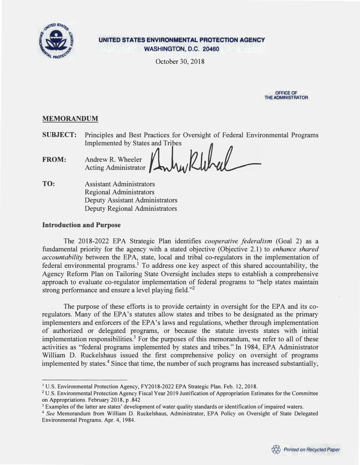

**UNITED STATES ENVIRONMENTAL PROTECTION AGENCY WASHINGTON, D.C. 20460** 

October 30, 2018



# **MEMORANDUM**

**SUBJECT:** Principles and Best Practices for Oversight of Federal Environmental Programs Implemented by States and Tribes

**FROM:** Andrew R. Wheeler Acting Administrator

**TO:** Assistant Administrators Regional Administrators Deputy Assistant Administrators Deputy Regional Administrators

## **Introduction and Purpose**

The 2018-2022 EPA Strategic Plan identifies *cooperative federalism* (Goal 2) as a fundamental priority for the agency with a stated objective (Objective 2.1) to *enhance shared accountability* between the EPA, state, local and tribal co-regulators in the implementation of federal environmental programs.<sup>1</sup> To address one key aspect of this shared accountability, the Agency Reform Plan on Tailoring State Oversight includes steps to establish a comprehensive approach to evaluate co-regulator implementation of federal programs to "help states maintain strong performance and ensure a level playing field."<sup>2</sup>

The purpose of these efforts is to provide certainty in oversight for the EPA and its coregulators. Many of the EPA's statutes allow states and tribes to be designated as the primary implementers and enforcers of the EPA's laws and regulations, whether through implementation of authorized or delegated programs, or because the statute invests states with initial implementation responsibilities.<sup>3</sup> For the purposes of this memorandum, we refer to all of these activities as "federal programs implemented by states and tribes." In 1984, EPA Administrator William D. Ruckelshaus issued the first comprehensive policy on oversight of programs implemented by states.<sup>4</sup> Since that time, the number of such programs has increased substantially,

<sup>&</sup>lt;sup>1</sup> U.S. Environmental Protection Agency, FY2018-2022 EPA Strategic Plan. Feb. 12, 2018.

**<sup>2</sup>**U.S. Environmental Protection Agency Fiscal Year 2019 Justification of Appropriation Estimates for the Committee on Appropriations. February 2018, p .842

<sup>&</sup>lt;sup>3</sup> Examples of the latter are states' development of water quality standards or identification of impaired waters.

**<sup>4</sup>***See* Memorandum from William D. Ruckelshaus, Administrator, EPA Policy on Oversight of State Delegated Environmental Programs. Apr. 4, 1984.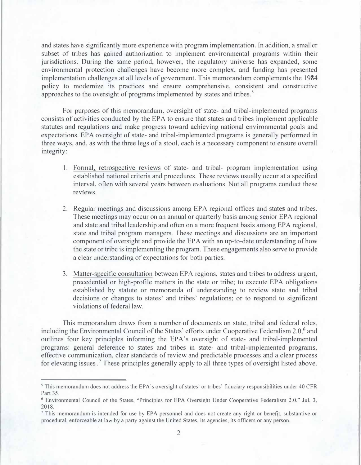and states have significantly more experience with program implementation. In addition, a smaller subset of tribes has gained authorization to implement environmental programs within their jurisdictions. During the same period, however, the regulatory universe has expanded, some environmental protection challenges have become more complex, and funding has presented implementation challenges at all levels of government. This memorandum complements the 1984 policy to modernize its practices and ensure comprehensive, consistent and constructive approaches to the oversight of programs implemented by states and tribes. <sup>5</sup>

For purposes of this memorandum. oversight of state- and tribal-implemented programs consists of activities conducted by the EPA to ensure that states and tribes implement applicable statutes and regulations and make progress toward achieving national environmental goals and expectations. EPA oversight of state- and tribal-implemented programs is generally performed in three ways, and, as with the three legs of a stool, each is a necessary component to ensure overall integrity:

- 1. Formal, retrospective reviews of state- and tribal- program implementation using established national criteria and procedures. These reviews usually occur at a specified interval, often with several years between evaluations. Not all programs conduct these reviews.
- 2. Regular meetings and discussions among EPA regional offices and states and tribes. These meetings may occur on an annual or quarterly basis among senior EPA regional and state and tribal leadership and often on a more frequent basis among EPA regional, state and tribal program managers. These meetings and discussions are an important component of oversight and provide the EPA with an up-to-date understanding of how the state or tribe is implementing the program. These engagements also serve to provide a clear understanding of expectations for both parties.
- 3. Matter-specific consultation between EPA regions, states and tribes to address urgent, precedential or high-profile matters in the state or tribe; to execute EPA obligations established by statute or memoranda of understanding to review state and tribal decisions or changes to states' and tribes' regulations; or to respond to significant violations of federal law.

This memorandum draws from a number of documents on state, tribal and federal roles, including the Environmental Council of the States' efforts under Cooperative Federalism 2.0,<sup>6</sup> and outlines four key principles informing the EPA's oversight of state- and tribal-implemented programs: general deference to states and tribes in state- and tribal-implemented programs, effective communication, clear standards of review and predictable processes and a clear process for elevating issues.<sup>7</sup> These principles generally apply to all three types of oversight listed above.

<sup>5</sup>This memorandum does not address the EPA 's oversight of states' or tribes' fiduciary responsibilities under 40 CFR Part 35.

**<sup>6</sup>**Environmental Council of the States, "Principles for EPA Oversight Under Cooperative Federalism 2.0." Jul. 3, 2018.

**<sup>7</sup>**This memorandum is intended for use by EPA personnel and does not create any right or benefit, substantive or procedural, enforceable at law by a party against the United States, its agencies, its officers or any person.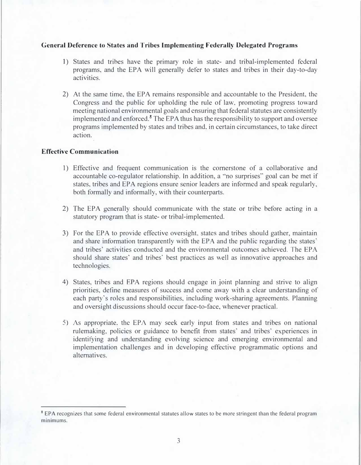#### **General Deference to States and Tribes Implementing Federally Delegated Programs**

- 1) States and tribes have the primary role in state- and tribal-implemented federal programs, and the EPA will generally defer to states and tribes in their day-to-day activities.
- 2) At the same time, the EPA remains responsible and accountable to the President, the Congress and the public for upholding the rule of law, promoting progress toward meeting national environmental goals and ensuring that federal statutes are consistently implemented and enforced.<sup>8</sup> The EPA thus has the responsibility to support and oversee programs implemented by states and tribes and, in certain circumstances, to take direct action.

## **Effective Communication**

- 1) Effective and frequent communication is the cornerstone of a collaborative and accountable co-regulator relationship. In addition, a "no surprises" goal can be met if states, tribes and EPA regions ensure senior leaders are informed and speak regularly, both formally and informally, with their counterparts.
- 2) The EPA generally should communicate with the state or tribe before acting in a statutory program that is state- or tribal-implemented.
- 3) For the EPA to provide effective oversight, states and tribes should gather, maintain and share information transparently with the EPA and the public regarding the states' and tribes' activities conducted and the environmental outcomes achieved. The EPA should share states' and tribes' best practices as well as innovative approaches and technologies.
- 4) States, tribes and EPA regions should engage in joint planning and strive to align priorities, define measures of success and come away with a clear understanding of each party's roles and responsibilities, including work-sharing agreements. Planning and oversight discussions should occur face-to-face, whenever practical.
- 5) As appropriate, the EPA may seek early input from states and tribes on national rulemaking, policies or guidance to benefit from states' and tribes' experiences in identifying and understanding evolving science and emerging environmental and implementation challenges and in developing effective programmatic options and alternatives.

**<sup>8</sup>**EPA recognizes that some federal environmental statutes allow states to be more stringent than the federal program minimums.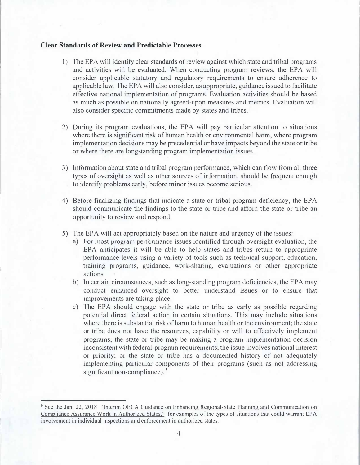## **Clear Standards of Review and Predictable Processes**

- 1) The EPA will identify clear standards of review against which state and tribal programs and activities will be evaluated. When conducting program reviews, the EPA will consider applicable statutory and regulatory requirements to ensure adherence to applicable law. The EPA will also consider, as appropriate, guidance issued to facilitate effective national implementation of programs. Evaluation activities should be based as much as possible on nationally agreed-upon measures and metrics. Evaluation will also consider specific commitments made by states and tribes.
- 2) During its program evaluations, the EPA will pay particular attention to situations where there is significant risk of human health or environmental harm, where program implementation decisions may be precedential or have impacts beyond the state or tribe or where there are longstanding program implementation issues.
- 3) Information about state and tribal program performance, which can flow from all three types of oversight as well as other sources of information, should be frequent enough to identify problems early, before minor issues become serious.
- 4) Before finalizing findings that indicate a state or tribal program deficiency, the EPA should communicate the findings to the state or tribe and afford the state or tribe an opportunity to review and respond.
- 5) The EPA will act appropriately based on the nature and urgency of the issues:
	- a) For most program performance issues identified through oversight evaluation, the EPA anticipates it will be able to help states and tribes return to appropriate performance levels using a variety of tools such as technical support, education, training programs, guidance, work-sharing, evaluations or other appropriate actions.
	- b) In certain circumstances, such as long-standing program deficiencies, the EPA may conduct enhanced oversight to better understand issues or to ensure that improvements are taking place.
	- c) The EPA should engage with the state or tribe as early as possible regarding potential direct federal action in certain situations. This may include situations where there is substantial risk of harm to human health or the environment; the state or tribe does not have the resources, capability or will to effectively implement programs; the state or tribe may be making a program implementation decision inconsistent with federal-program requirements; the issue involves national interest or priority; or the state or tribe has a documented history of not adequately implementing particular components of their programs (such as not addressing significant non-compliance).<sup>9</sup>

<sup>&</sup>lt;sup>9</sup> See the Jan. 22, 2018 "Interim OECA Guidance on Enhancing Regional-State Planning and Communication on Compliance Assurance Work in Authorized States," for examples of the types of situations that could warrant EPA involvement in individual inspections and enforcement in authorized states.